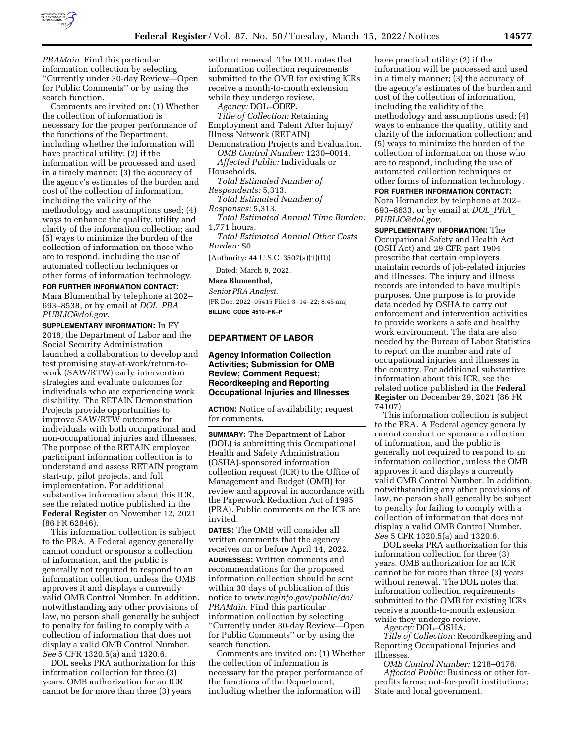

*PRAMain.* Find this particular information collection by selecting ''Currently under 30-day Review—Open for Public Comments'' or by using the search function.

Comments are invited on: (1) Whether the collection of information is necessary for the proper performance of the functions of the Department, including whether the information will have practical utility; (2) if the information will be processed and used in a timely manner; (3) the accuracy of the agency's estimates of the burden and cost of the collection of information, including the validity of the methodology and assumptions used; (4) ways to enhance the quality, utility and clarity of the information collection; and (5) ways to minimize the burden of the collection of information on those who are to respond, including the use of automated collection techniques or other forms of information technology.

#### **FOR FURTHER INFORMATION CONTACT:**

Mara Blumenthal by telephone at 202– 693–8538, or by email at *[DOL](mailto:DOL_PRA_PUBLIC@dol.gov)*\_*PRA*\_ *[PUBLIC@dol.gov.](mailto:DOL_PRA_PUBLIC@dol.gov)* 

**SUPPLEMENTARY INFORMATION:** In FY 2018, the Department of Labor and the Social Security Administration launched a collaboration to develop and test promising stay-at-work/return-towork (SAW/RTW) early intervention strategies and evaluate outcomes for individuals who are experiencing work disability. The RETAIN Demonstration Projects provide opportunities to improve SAW/RTW outcomes for individuals with both occupational and non-occupational injuries and illnesses. The purpose of the RETAIN employee participant information collection is to understand and assess RETAIN program start-up, pilot projects, and full implementation. For additional substantive information about this ICR, see the related notice published in the **Federal Register** on November 12, 2021 (86 FR 62846).

This information collection is subject to the PRA. A Federal agency generally cannot conduct or sponsor a collection of information, and the public is generally not required to respond to an information collection, unless the OMB approves it and displays a currently valid OMB Control Number. In addition, notwithstanding any other provisions of law, no person shall generally be subject to penalty for failing to comply with a collection of information that does not display a valid OMB Control Number. *See* 5 CFR 1320.5(a) and 1320.6.

DOL seeks PRA authorization for this information collection for three (3) years. OMB authorization for an ICR cannot be for more than three (3) years

without renewal. The DOL notes that information collection requirements submitted to the OMB for existing ICRs receive a month-to-month extension while they undergo review.

*Agency:* DOL–ODEP.

*Title of Collection:* Retaining Employment and Talent After Injury/ Illness Network (RETAIN)

Demonstration Projects and Evaluation. *OMB Control Number:* 1230–0014.

*Affected Public:* Individuals or Households.

*Total Estimated Number of Respondents:* 5,313.

- *Total Estimated Number of Responses:* 5,313.
- *Total Estimated Annual Time Burden:*  1,771 hours.

*Total Estimated Annual Other Costs Burden:* \$0.

(Authority: 44 U.S.C. 3507(a)(1)(D))

Dated: March 8, 2022.

#### **Mara Blumenthal,**

*Senior PRA Analyst.* 

[FR Doc. 2022–05415 Filed 3–14–22; 8:45 am] **BILLING CODE 4510–FK–P** 

### **DEPARTMENT OF LABOR**

# **Agency Information Collection Activities; Submission for OMB Review; Comment Request; Recordkeeping and Reporting Occupational Injuries and Illnesses**

**ACTION:** Notice of availability; request for comments.

**SUMMARY:** The Department of Labor (DOL) is submitting this Occupational Health and Safety Administration (OSHA)-sponsored information collection request (ICR) to the Office of Management and Budget (OMB) for review and approval in accordance with the Paperwork Reduction Act of 1995 (PRA). Public comments on the ICR are invited.

**DATES:** The OMB will consider all written comments that the agency receives on or before April 14, 2022. **ADDRESSES:** Written comments and recommendations for the proposed information collection should be sent within 30 days of publication of this notice to *[www.reginfo.gov/public/do/](http://www.reginfo.gov/public/do/PRAMain) [PRAMain.](http://www.reginfo.gov/public/do/PRAMain)* Find this particular information collection by selecting ''Currently under 30-day Review—Open for Public Comments'' or by using the search function.

Comments are invited on: (1) Whether the collection of information is necessary for the proper performance of the functions of the Department, including whether the information will

have practical utility; (2) if the information will be processed and used in a timely manner; (3) the accuracy of the agency's estimates of the burden and cost of the collection of information, including the validity of the methodology and assumptions used; (4) ways to enhance the quality, utility and clarity of the information collection; and (5) ways to minimize the burden of the collection of information on those who are to respond, including the use of automated collection techniques or other forms of information technology.

**FOR FURTHER INFORMATION CONTACT:**  Nora Hernandez by telephone at 202– 693–8633, or by email at *[DOL](mailto:DOL_PRA_PUBLIC@dol.gov)*\_*PRA*\_ *[PUBLIC@dol.gov.](mailto:DOL_PRA_PUBLIC@dol.gov)* 

**SUPPLEMENTARY INFORMATION:** The Occupational Safety and Health Act (OSH Act) and 29 CFR part 1904 prescribe that certain employers maintain records of job-related injuries and illnesses. The injury and illness records are intended to have multiple purposes. One purpose is to provide data needed by OSHA to carry out enforcement and intervention activities to provide workers a safe and healthy work environment. The data are also needed by the Bureau of Labor Statistics to report on the number and rate of occupational injuries and illnesses in the country. For additional substantive information about this ICR, see the related notice published in the **Federal Register** on December 29, 2021 (86 FR 74107).

This information collection is subject to the PRA. A Federal agency generally cannot conduct or sponsor a collection of information, and the public is generally not required to respond to an information collection, unless the OMB approves it and displays a currently valid OMB Control Number. In addition, notwithstanding any other provisions of law, no person shall generally be subject to penalty for failing to comply with a collection of information that does not display a valid OMB Control Number. *See* 5 CFR 1320.5(a) and 1320.6.

DOL seeks PRA authorization for this information collection for three (3) years. OMB authorization for an ICR cannot be for more than three (3) years without renewal. The DOL notes that information collection requirements submitted to the OMB for existing ICRs receive a month-to-month extension while they undergo review.

*Agency:* DOL–OSHA.

*Title of Collection:* Recordkeeping and Reporting Occupational Injuries and Illnesses.

*OMB Control Number:* 1218–0176.

*Affected Public:* Business or other forprofits farms; not-for-profit institutions; State and local government.